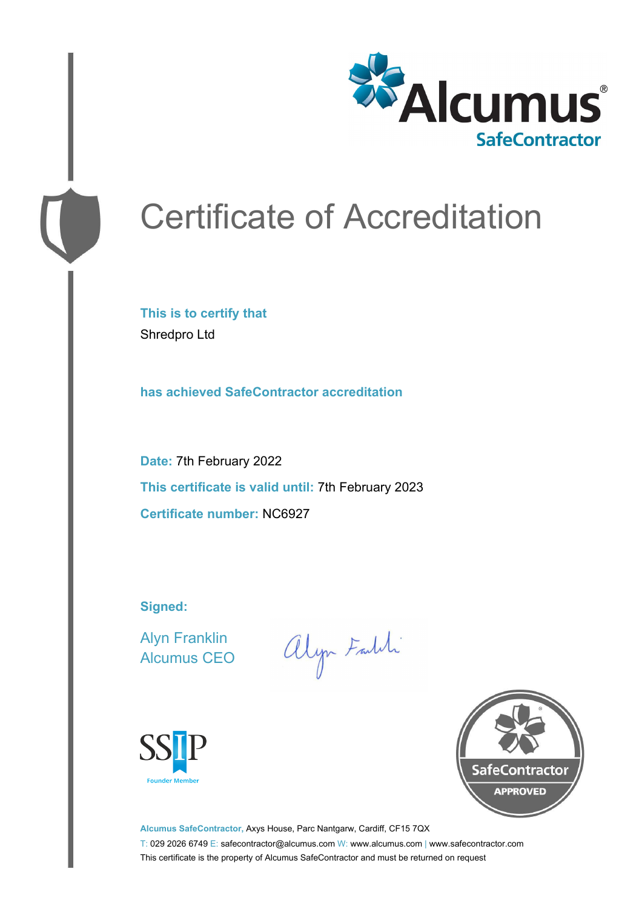

# Certificate of Accreditation

**This is to certify that** Shredpro Ltd

**has achieved SafeContractor accreditation**

**Date:** 7th February 2022 **This certificate is valid until:** 7th February 2023 **Certificate number:** NC6927

**Signed:**

Alyn Franklin Alcumus CEO

alyn Faith





**Alcumus SafeContractor,** Axys House, Parc Nantgarw, Cardiff, CF15 7QX T: 029 2026 6749 E: safecontractor@alcumus.com W: www.alcumus.com | www.safecontractor.com This certificate is the property of Alcumus SafeContractor and must be returned on request